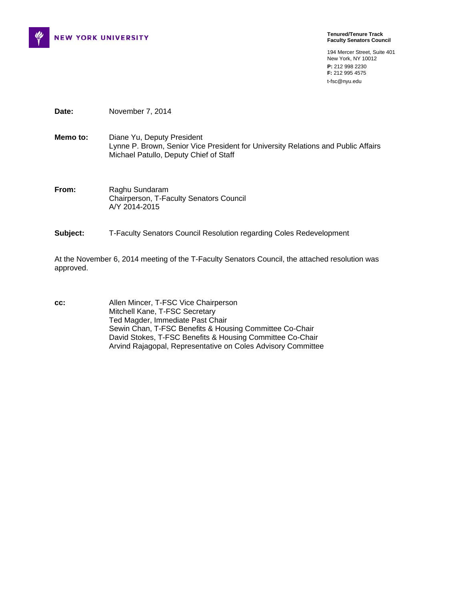

**Tenured/Tenure Track Faculty Senators Council** 

194 Mercer Street, Suite 401 New York, NY 10012 **P:** 212 998 2230 **F:** 212 995 4575 t-fsc@nyu.edu

**Date:** November 7, 2014

**Memo to:** Diane Yu, Deputy President Lynne P. Brown, Senior Vice President for University Relations and Public Affairs Michael Patullo, Deputy Chief of Staff

**From:** Raghu Sundaram Chairperson, T-Faculty Senators Council A/Y 2014-2015

**Subject:** T-Faculty Senators Council Resolution regarding Coles Redevelopment

At the November 6, 2014 meeting of the T-Faculty Senators Council, the attached resolution was approved.

**cc:** Allen Mincer, T-FSC Vice Chairperson Mitchell Kane, T-FSC Secretary Ted Magder, Immediate Past Chair Sewin Chan, T-FSC Benefits & Housing Committee Co-Chair David Stokes, T-FSC Benefits & Housing Committee Co-Chair Arvind Rajagopal, Representative on Coles Advisory Committee